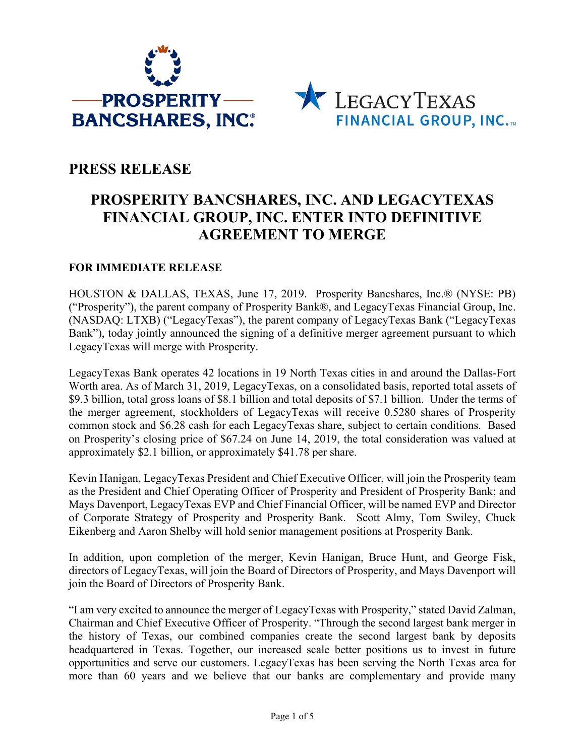



## **PRESS RELEASE**

# **PROSPERITY BANCSHARES, INC. AND LEGACYTEXAS FINANCIAL GROUP, INC. ENTER INTO DEFINITIVE AGREEMENT TO MERGE**

#### **FOR IMMEDIATE RELEASE**

HOUSTON & DALLAS, TEXAS, June 17, 2019. Prosperity Bancshares, Inc.® (NYSE: PB) ("Prosperity"), the parent company of Prosperity Bank®, and LegacyTexas Financial Group, Inc. (NASDAQ: LTXB) ("LegacyTexas"), the parent company of LegacyTexas Bank ("LegacyTexas Bank"), today jointly announced the signing of a definitive merger agreement pursuant to which LegacyTexas will merge with Prosperity.

LegacyTexas Bank operates 42 locations in 19 North Texas cities in and around the Dallas-Fort Worth area. As of March 31, 2019, LegacyTexas, on a consolidated basis, reported total assets of \$9.3 billion, total gross loans of \$8.1 billion and total deposits of \$7.1 billion. Under the terms of the merger agreement, stockholders of LegacyTexas will receive 0.5280 shares of Prosperity common stock and \$6.28 cash for each LegacyTexas share, subject to certain conditions. Based on Prosperity's closing price of \$67.24 on June 14, 2019, the total consideration was valued at approximately \$2.1 billion, or approximately \$41.78 per share.

Kevin Hanigan, LegacyTexas President and Chief Executive Officer, will join the Prosperity team as the President and Chief Operating Officer of Prosperity and President of Prosperity Bank; and Mays Davenport, LegacyTexas EVP and Chief Financial Officer, will be named EVP and Director of Corporate Strategy of Prosperity and Prosperity Bank. Scott Almy, Tom Swiley, Chuck Eikenberg and Aaron Shelby will hold senior management positions at Prosperity Bank.

In addition, upon completion of the merger, Kevin Hanigan, Bruce Hunt, and George Fisk, directors of LegacyTexas, will join the Board of Directors of Prosperity, and Mays Davenport will join the Board of Directors of Prosperity Bank.

"I am very excited to announce the merger of LegacyTexas with Prosperity," stated David Zalman, Chairman and Chief Executive Officer of Prosperity. "Through the second largest bank merger in the history of Texas, our combined companies create the second largest bank by deposits headquartered in Texas. Together, our increased scale better positions us to invest in future opportunities and serve our customers. LegacyTexas has been serving the North Texas area for more than 60 years and we believe that our banks are complementary and provide many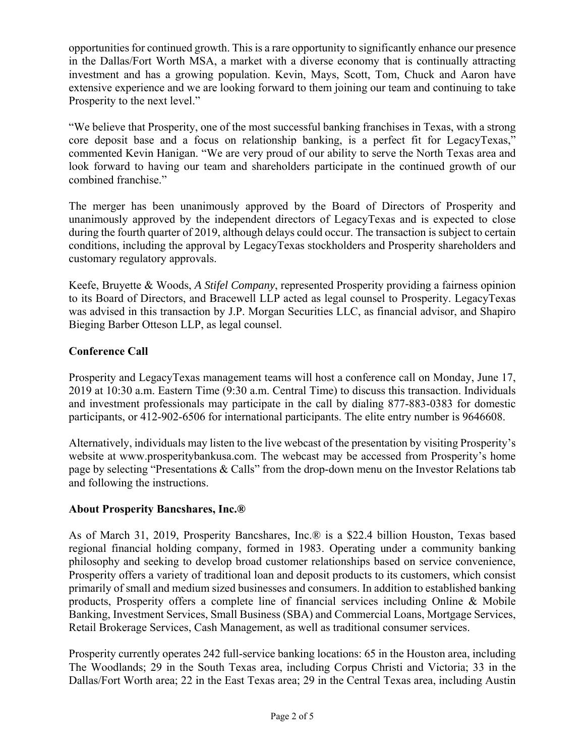opportunities for continued growth. This is a rare opportunity to significantly enhance our presence in the Dallas/Fort Worth MSA, a market with a diverse economy that is continually attracting investment and has a growing population. Kevin, Mays, Scott, Tom, Chuck and Aaron have extensive experience and we are looking forward to them joining our team and continuing to take Prosperity to the next level."

"We believe that Prosperity, one of the most successful banking franchises in Texas, with a strong core deposit base and a focus on relationship banking, is a perfect fit for LegacyTexas," commented Kevin Hanigan. "We are very proud of our ability to serve the North Texas area and look forward to having our team and shareholders participate in the continued growth of our combined franchise."

The merger has been unanimously approved by the Board of Directors of Prosperity and unanimously approved by the independent directors of LegacyTexas and is expected to close during the fourth quarter of 2019, although delays could occur. The transaction is subject to certain conditions, including the approval by LegacyTexas stockholders and Prosperity shareholders and customary regulatory approvals.

Keefe, Bruyette & Woods, *A Stifel Company*, represented Prosperity providing a fairness opinion to its Board of Directors, and Bracewell LLP acted as legal counsel to Prosperity. LegacyTexas was advised in this transaction by J.P. Morgan Securities LLC, as financial advisor, and Shapiro Bieging Barber Otteson LLP, as legal counsel.

## **Conference Call**

Prosperity and LegacyTexas management teams will host a conference call on Monday, June 17, 2019 at 10:30 a.m. Eastern Time (9:30 a.m. Central Time) to discuss this transaction. Individuals and investment professionals may participate in the call by dialing 877-883-0383 for domestic participants, or 412-902-6506 for international participants. The elite entry number is 9646608.

Alternatively, individuals may listen to the live webcast of the presentation by visiting Prosperity's website at www.prosperitybankusa.com. The webcast may be accessed from Prosperity's home page by selecting "Presentations & Calls" from the drop-down menu on the Investor Relations tab and following the instructions.

## **About Prosperity Bancshares, Inc.®**

As of March 31, 2019, Prosperity Bancshares, Inc.® is a \$22.4 billion Houston, Texas based regional financial holding company, formed in 1983. Operating under a community banking philosophy and seeking to develop broad customer relationships based on service convenience, Prosperity offers a variety of traditional loan and deposit products to its customers, which consist primarily of small and medium sized businesses and consumers. In addition to established banking products, Prosperity offers a complete line of financial services including Online & Mobile Banking, Investment Services, Small Business (SBA) and Commercial Loans, Mortgage Services, Retail Brokerage Services, Cash Management, as well as traditional consumer services.

Prosperity currently operates 242 full-service banking locations: 65 in the Houston area, including The Woodlands; 29 in the South Texas area, including Corpus Christi and Victoria; 33 in the Dallas/Fort Worth area; 22 in the East Texas area; 29 in the Central Texas area, including Austin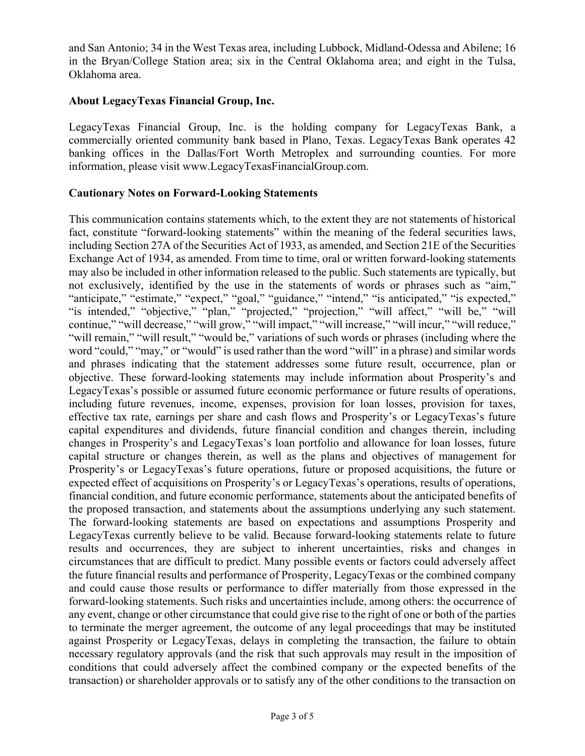and San Antonio; 34 in the West Texas area, including Lubbock, Midland-Odessa and Abilene; 16 in the Bryan/College Station area; six in the Central Oklahoma area; and eight in the Tulsa, Oklahoma area.

## **About LegacyTexas Financial Group, Inc.**

LegacyTexas Financial Group, Inc. is the holding company for LegacyTexas Bank, a commercially oriented community bank based in Plano, Texas. LegacyTexas Bank operates 42 banking offices in the Dallas/Fort Worth Metroplex and surrounding counties. For more information, please visit www.LegacyTexasFinancialGroup.com.

#### **Cautionary Notes on Forward-Looking Statements**

This communication contains statements which, to the extent they are not statements of historical fact, constitute "forward-looking statements" within the meaning of the federal securities laws, including Section 27A of the Securities Act of 1933, as amended, and Section 21E of the Securities Exchange Act of 1934, as amended. From time to time, oral or written forward-looking statements may also be included in other information released to the public. Such statements are typically, but not exclusively, identified by the use in the statements of words or phrases such as "aim," "anticipate," "estimate," "expect," "goal," "guidance," "intend," "is anticipated," "is expected," "is intended," "objective," "plan," "projected," "projection," "will affect," "will be," "will continue," "will decrease," "will grow," "will impact," "will increase," "will incur," "will reduce," "will remain," "will result," "would be," variations of such words or phrases (including where the word "could," "may," or "would" is used rather than the word "will" in a phrase) and similar words and phrases indicating that the statement addresses some future result, occurrence, plan or objective. These forward-looking statements may include information about Prosperity's and LegacyTexas's possible or assumed future economic performance or future results of operations, including future revenues, income, expenses, provision for loan losses, provision for taxes, effective tax rate, earnings per share and cash flows and Prosperity's or LegacyTexas's future capital expenditures and dividends, future financial condition and changes therein, including changes in Prosperity's and LegacyTexas's loan portfolio and allowance for loan losses, future capital structure or changes therein, as well as the plans and objectives of management for Prosperity's or LegacyTexas's future operations, future or proposed acquisitions, the future or expected effect of acquisitions on Prosperity's or LegacyTexas's operations, results of operations, financial condition, and future economic performance, statements about the anticipated benefits of the proposed transaction, and statements about the assumptions underlying any such statement. The forward-looking statements are based on expectations and assumptions Prosperity and LegacyTexas currently believe to be valid. Because forward-looking statements relate to future results and occurrences, they are subject to inherent uncertainties, risks and changes in circumstances that are difficult to predict. Many possible events or factors could adversely affect the future financial results and performance of Prosperity, LegacyTexas or the combined company and could cause those results or performance to differ materially from those expressed in the forward-looking statements. Such risks and uncertainties include, among others: the occurrence of any event, change or other circumstance that could give rise to the right of one or both of the parties to terminate the merger agreement, the outcome of any legal proceedings that may be instituted against Prosperity or LegacyTexas, delays in completing the transaction, the failure to obtain necessary regulatory approvals (and the risk that such approvals may result in the imposition of conditions that could adversely affect the combined company or the expected benefits of the transaction) or shareholder approvals or to satisfy any of the other conditions to the transaction on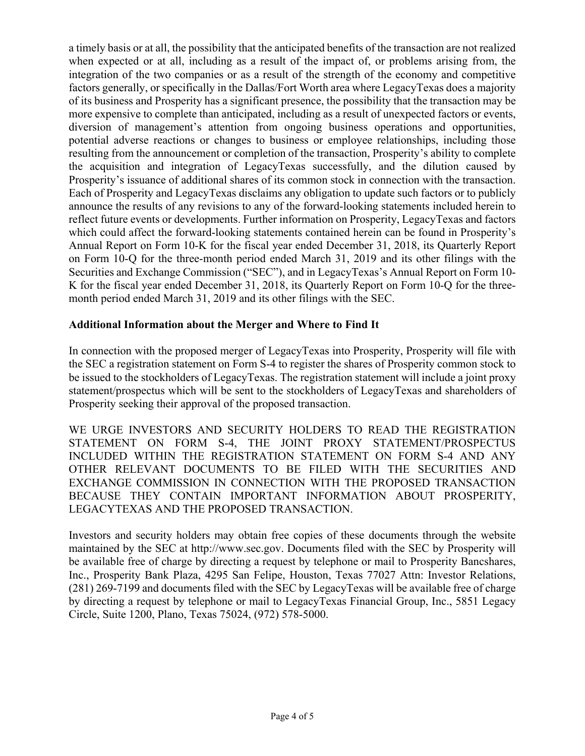a timely basis or at all, the possibility that the anticipated benefits of the transaction are not realized when expected or at all, including as a result of the impact of, or problems arising from, the integration of the two companies or as a result of the strength of the economy and competitive factors generally, or specifically in the Dallas/Fort Worth area where LegacyTexas does a majority of its business and Prosperity has a significant presence, the possibility that the transaction may be more expensive to complete than anticipated, including as a result of unexpected factors or events, diversion of management's attention from ongoing business operations and opportunities, potential adverse reactions or changes to business or employee relationships, including those resulting from the announcement or completion of the transaction, Prosperity's ability to complete the acquisition and integration of LegacyTexas successfully, and the dilution caused by Prosperity's issuance of additional shares of its common stock in connection with the transaction. Each of Prosperity and LegacyTexas disclaims any obligation to update such factors or to publicly announce the results of any revisions to any of the forward-looking statements included herein to reflect future events or developments. Further information on Prosperity, LegacyTexas and factors which could affect the forward-looking statements contained herein can be found in Prosperity's Annual Report on Form 10-K for the fiscal year ended December 31, 2018, its Quarterly Report on Form 10-Q for the three-month period ended March 31, 2019 and its other filings with the Securities and Exchange Commission ("SEC"), and in LegacyTexas's Annual Report on Form 10- K for the fiscal year ended December 31, 2018, its Quarterly Report on Form 10-Q for the threemonth period ended March 31, 2019 and its other filings with the SEC.

## **Additional Information about the Merger and Where to Find It**

In connection with the proposed merger of LegacyTexas into Prosperity, Prosperity will file with the SEC a registration statement on Form S-4 to register the shares of Prosperity common stock to be issued to the stockholders of LegacyTexas. The registration statement will include a joint proxy statement/prospectus which will be sent to the stockholders of LegacyTexas and shareholders of Prosperity seeking their approval of the proposed transaction.

WE URGE INVESTORS AND SECURITY HOLDERS TO READ THE REGISTRATION STATEMENT ON FORM S-4, THE JOINT PROXY STATEMENT/PROSPECTUS INCLUDED WITHIN THE REGISTRATION STATEMENT ON FORM S-4 AND ANY OTHER RELEVANT DOCUMENTS TO BE FILED WITH THE SECURITIES AND EXCHANGE COMMISSION IN CONNECTION WITH THE PROPOSED TRANSACTION BECAUSE THEY CONTAIN IMPORTANT INFORMATION ABOUT PROSPERITY, LEGACYTEXAS AND THE PROPOSED TRANSACTION.

Investors and security holders may obtain free copies of these documents through the website maintained by the SEC at http://www.sec.gov. Documents filed with the SEC by Prosperity will be available free of charge by directing a request by telephone or mail to Prosperity Bancshares, Inc., Prosperity Bank Plaza, 4295 San Felipe, Houston, Texas 77027 Attn: Investor Relations, (281) 269-7199 and documents filed with the SEC by LegacyTexas will be available free of charge by directing a request by telephone or mail to LegacyTexas Financial Group, Inc., 5851 Legacy Circle, Suite 1200, Plano, Texas 75024, (972) 578-5000.